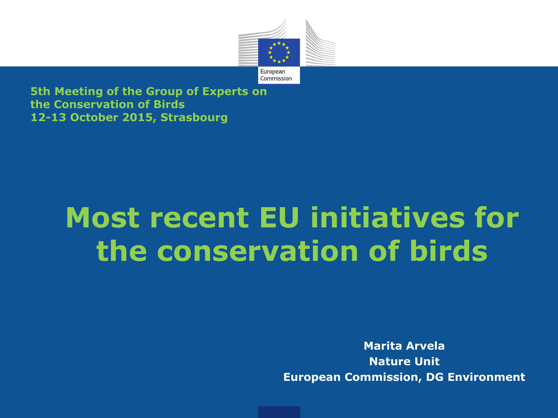

**5th Meeting of the Group of Experts on the Conservation of Birds 12-13 October 2015, Strasbourg** 

# **Most recent EU initiatives for the conservation of birds**

**Marita Arvela Nature Unit European Commission, DG Environment**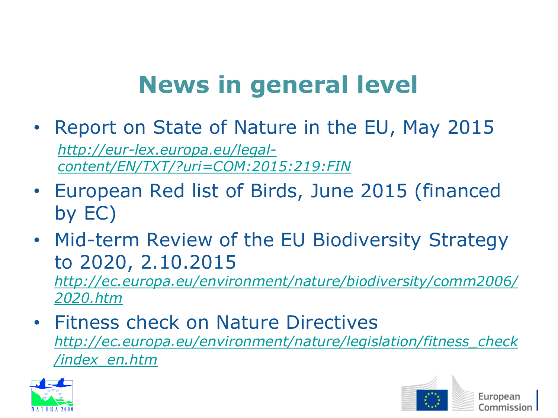# **News in general level**

- Report on State of Nature in the EU, May 2015 *[http://eur-lex.europa.eu/legal](http://eur-lex.europa.eu/legal-content/EN/TXT/?uri=COM:2015:219:FIN)[content/EN/TXT/?uri=COM:2015:219:FIN](http://eur-lex.europa.eu/legal-content/EN/TXT/?uri=COM:2015:219:FIN)*
- European Red list of Birds, June 2015 (financed by EC)
- Mid-term Review of the EU Biodiversity Strategy to 2020, 2.10.2015 *[http://ec.europa.eu/environment/nature/biodiversity/comm2006/](http://ec.europa.eu/environment/nature/biodiversity/comm2006/2020.htm) [2020.htm](http://ec.europa.eu/environment/nature/biodiversity/comm2006/2020.htm)*
- Fitness check on Nature Directives *[http://ec.europa.eu/environment/nature/legislation/fitness\\_check](http://ec.europa.eu/environment/nature/legislation/fitness_check/index_en.htm) [/index\\_en.htm](http://ec.europa.eu/environment/nature/legislation/fitness_check/index_en.htm)*



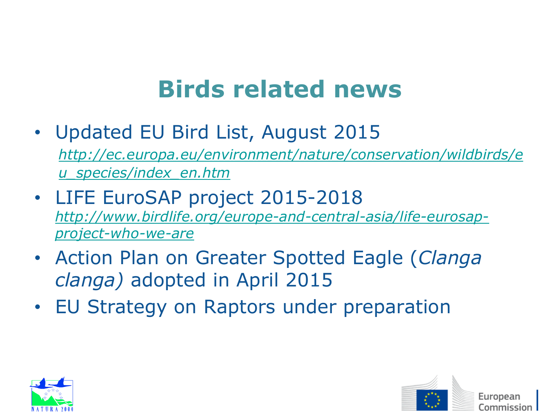# **Birds related news**

- Updated EU Bird List, August 2015 *[http://ec.europa.eu/environment/nature/conservation/wildbirds/e](http://ec.europa.eu/environment/nature/conservation/wildbirds/eu_species/index_en.htm) [u\\_species/index\\_en.htm](http://ec.europa.eu/environment/nature/conservation/wildbirds/eu_species/index_en.htm)*
- LIFE EuroSAP project 2015-2018 *[http://www.birdlife.org/europe-and-central-asia/life-eurosap](http://www.birdlife.org/europe-and-central-asia/life-eurosap-project-who-we-are)[project-who-we-are](http://www.birdlife.org/europe-and-central-asia/life-eurosap-project-who-we-are)*
- Action Plan on Greater Spotted Eagle (*Clanga clanga)* adopted in April 2015
- EU Strategy on Raptors under preparation



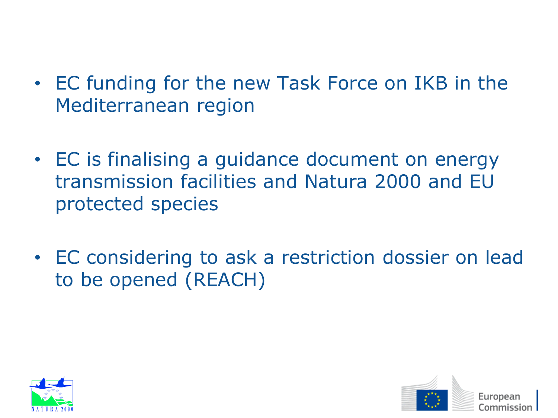- EC funding for the new Task Force on IKB in the Mediterranean region
- EC is finalising a guidance document on energy transmission facilities and Natura 2000 and EU protected species
- EC considering to ask a restriction dossier on lead to be opened (REACH)



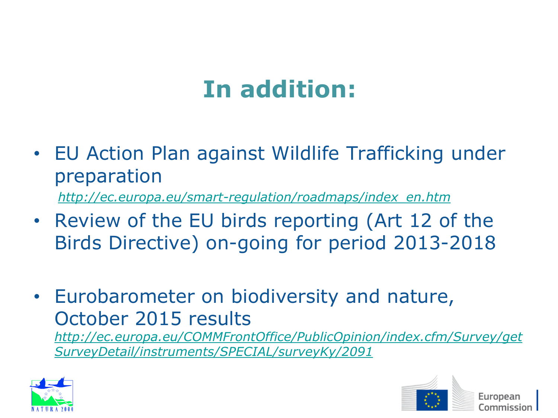# **In addition:**

• EU Action Plan against Wildlife Trafficking under preparation

*[http://ec.europa.eu/smart-regulation/roadmaps/index\\_en.htm](http://ec.europa.eu/smart-regulation/roadmaps/index_en.htm)*

- Review of the EU birds reporting (Art 12 of the Birds Directive) on-going for period 2013-2018
- Eurobarometer on biodiversity and nature, October 2015 results

*[http://ec.europa.eu/COMMFrontOffice/PublicOpinion/index.cfm/Survey/get](http://ec.europa.eu/COMMFrontOffice/PublicOpinion/index.cfm/Survey/getSurveyDetail/instruments/SPECIAL/surveyKy/2091) [SurveyDetail/instruments/SPECIAL/surveyKy/2091](http://ec.europa.eu/COMMFrontOffice/PublicOpinion/index.cfm/Survey/getSurveyDetail/instruments/SPECIAL/surveyKy/2091)*



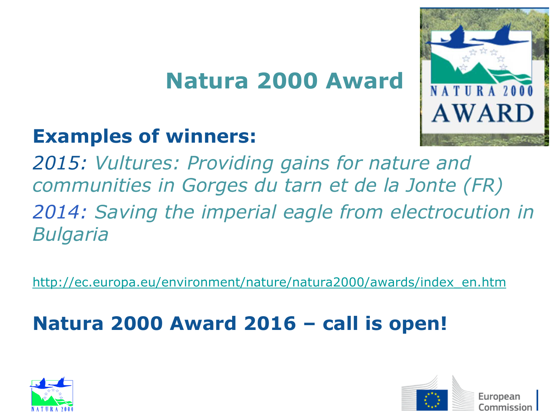### **Natura 2000 Award**

### **Examples of winners:**

*2015: Vultures: Providing gains for nature and communities in Gorges du tarn et de la Jonte (FR) 2014: Saving the imperial eagle from electrocution in Bulgaria*

[http://ec.europa.eu/environment/nature/natura2000/awards/index\\_en.htm](http://ec.europa.eu/environment/nature/natura2000/awards/index_en.htm)

### **Natura 2000 Award 2016 – call is open!**